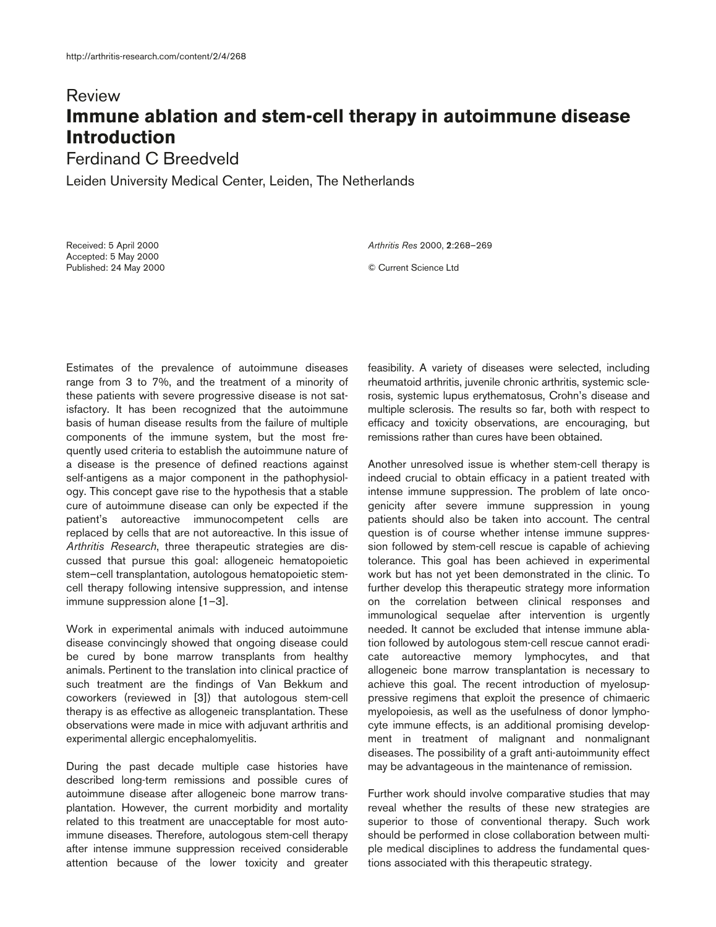## Review **Immune ablation and stem-cell therapy in autoimmune disease Introduction**

## Ferdinand C Breedveld

Leiden University Medical Center, Leiden, The Netherlands

Received: 5 April 2000 Accepted: 5 May 2000 Published: 24 May 2000 *Arthritis Res* 2000, **2**:268–269 © Current Science Ltd

Estimates of the prevalence of autoimmune diseases range from 3 to 7%, and the treatment of a minority of these patients with severe progressive disease is not satisfactory. It has been recognized that the autoimmune basis of human disease results from the failure of multiple components of the immune system, but the most frequently used criteria to establish the autoimmune nature of a disease is the presence of defined reactions against self-antigens as a major component in the pathophysiology. This concept gave rise to the hypothesis that a stable cure of autoimmune disease can only be expected if the patient's autoreactive immunocompetent cells are replaced by cells that are not autoreactive. In this issue of *Arthritis Research*, three therapeutic strategies are discussed that pursue this goal: allogeneic hematopoietic stem–cell transplantation, autologous hematopoietic stemcell therapy following intensive suppression, and intense immune suppression alone [1–3].

Work in experimental animals with induced autoimmune disease convincingly showed that ongoing disease could be cured by bone marrow transplants from healthy animals. Pertinent to the translation into clinical practice of such treatment are the findings of Van Bekkum and coworkers (reviewed in [3]) that autologous stem-cell therapy is as effective as allogeneic transplantation. These observations were made in mice with adjuvant arthritis and experimental allergic encephalomyelitis.

During the past decade multiple case histories have described long-term remissions and possible cures of autoimmune disease after allogeneic bone marrow transplantation. However, the current morbidity and mortality related to this treatment are unacceptable for most autoimmune diseases. Therefore, autologous stem-cell therapy after intense immune suppression received considerable attention because of the lower toxicity and greater feasibility. A variety of diseases were selected, including rheumatoid arthritis, juvenile chronic arthritis, systemic sclerosis, systemic lupus erythematosus, Crohn's disease and multiple sclerosis. The results so far, both with respect to efficacy and toxicity observations, are encouraging, but remissions rather than cures have been obtained.

Another unresolved issue is whether stem-cell therapy is indeed crucial to obtain efficacy in a patient treated with intense immune suppression. The problem of late oncogenicity after severe immune suppression in young patients should also be taken into account. The central question is of course whether intense immune suppression followed by stem-cell rescue is capable of achieving tolerance. This goal has been achieved in experimental work but has not yet been demonstrated in the clinic. To further develop this therapeutic strategy more information on the correlation between clinical responses and immunological sequelae after intervention is urgently needed. It cannot be excluded that intense immune ablation followed by autologous stem-cell rescue cannot eradicate autoreactive memory lymphocytes, and that allogeneic bone marrow transplantation is necessary to achieve this goal. The recent introduction of myelosuppressive regimens that exploit the presence of chimaeric myelopoiesis, as well as the usefulness of donor lymphocyte immune effects, is an additional promising development in treatment of malignant and nonmalignant diseases. The possibility of a graft anti-autoimmunity effect may be advantageous in the maintenance of remission.

Further work should involve comparative studies that may reveal whether the results of these new strategies are superior to those of conventional therapy. Such work should be performed in close collaboration between multiple medical disciplines to address the fundamental questions associated with this therapeutic strategy.